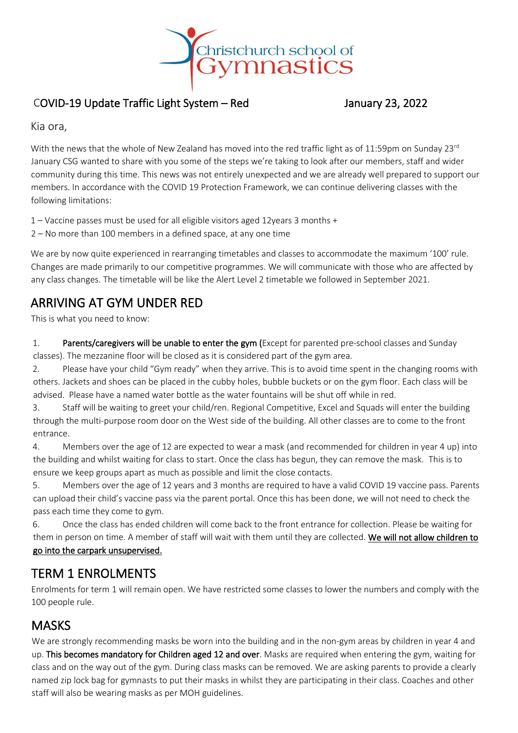

#### COVID-19 Update Traffic Light System – Red January 23, 2022

Kia ora,

With the news that the whole of New Zealand has moved into the red traffic light as of 11:59pm on Sunday 23 $^{\text{rd}}$ January CSG wanted to share with you some of the steps we're taking to look after our members, staff and wider community during this time. This news was not entirely unexpected and we are already well prepared to support our members. In accordance with the COVID 19 Protection Framework, we can continue delivering classes with the following limitations:

1 – Vaccine passes must be used for all eligible visitors aged 12years 3 months +

2 – No more than 100 members in a defined space, at any one time

We are by now quite experienced in rearranging timetables and classes to accommodate the maximum '100' rule. Changes are made primarily to our competitive programmes. We will communicate with those who are affected by any class changes. The timetable will be like the Alert Level 2 timetable we followed in September 2021.

### ARRIVING AT GYM UNDER RED

This is what you need to know:

1. Parents/caregivers will be unable to enter the gym (Except for parented pre-school classes and Sunday classes). The mezzanine floor will be closed as it is considered part of the gym area.

2. Please have your child "Gym ready" when they arrive. This is to avoid time spent in the changing rooms with others. Jackets and shoes can be placed in the cubby holes, bubble buckets or on the gym floor. Each class will be advised. Please have a named water bottle as the water fountains will be shut off while in red.

3. Staff will be waiting to greet your child/ren. Regional Competitive, Excel and Squads will enter the building through the multi-purpose room door on the West side of the building. All other classes are to come to the front entrance.

4. Members over the age of 12 are expected to wear a mask (and recommended for children in year 4 up) into the building and whilst waiting for class to start. Once the class has begun, they can remove the mask. This is to ensure we keep groups apart as much as possible and limit the close contacts.

5. Members over the age of 12 years and 3 months are required to have a valid COVID 19 vaccine pass. Parents can upload their child's vaccine pass via the parent portal. Once this has been done, we will not need to check the pass each time they come to gym.

6. Once the class has ended children will come back to the front entrance for collection. Please be waiting for them in person on time. A member of staff will wait with them until they are collected. We will not allow children to go into the carpark unsupervised.

### TERM 1 ENROLMENTS

Enrolments for term 1 will remain open. We have restricted some classes to lower the numbers and comply with the 100 people rule.

### **MASKS**

We are strongly recommending masks be worn into the building and in the non-gym areas by children in year 4 and up. This becomes mandatory for Children aged 12 and over. Masks are required when entering the gym, waiting for class and on the way out of the gym. During class masks can be removed. We are asking parents to provide a clearly named zip lock bag for gymnasts to put their masks in whilst they are participating in their class. Coaches and other staff will also be wearing masks as per MOH guidelines.